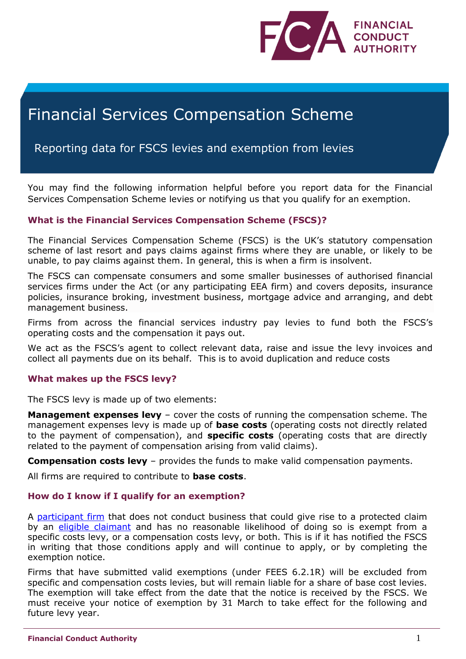

# Financial Services Compensation Scheme

# Reporting data for FSCS levies and exemption from levies

You may find the following information helpful before you report data for the Financial Services Compensation Scheme levies or notifying us that you qualify for an exemption.

# **What is the Financial Services Compensation Scheme (FSCS)?**

The Financial Services Compensation Scheme (FSCS) is the UK's statutory compensation scheme of last resort and pays claims against firms where they are unable, or likely to be unable, to pay claims against them. In general, this is when a firm is insolvent.

The FSCS can compensate consumers and some smaller businesses of authorised financial services firms under the Act (or any participating EEA firm) and covers deposits, insurance policies, insurance broking, investment business, mortgage advice and arranging, and debt management business.

Firms from across the financial services industry pay levies to fund both the FSCS's operating costs and the compensation it pays out.

We act as the FSCS's agent to collect relevant data, raise and issue the levy invoices and collect all payments due on its behalf. This is to avoid duplication and reduce costs

# **What makes up the FSCS levy?**

The FSCS levy is made up of two elements:

**Management expenses levy** – cover the costs of running the compensation scheme. The management expenses levy is made up of **base costs** (operating costs not directly related to the payment of compensation), and **specific costs** (operating costs that are directly related to the payment of compensation arising from valid claims).

**Compensation costs levy** – provides the funds to make valid compensation payments.

All firms are required to contribute to **base costs**.

# **How do I know if I qualify for an exemption?**

A [participant](https://www.handbook.fca.org.uk/handbook/glossary/G837.html) firm that does not conduct business that could give rise to a protected claim by an [eligible claimant](https://www.handbook.fca.org.uk/handbook/glossary/G348.html) and has no reasonable likelihood of doing so is exempt from a specific costs levy, or a compensation costs levy, or both. This is if it has notified the FSCS in writing that those conditions apply and will continue to apply, or by completing the exemption notice.

Firms that have submitted valid exemptions (under [FEES 6.2.1R\)](http://fshandbook.info/FS/html/handbook/FEES/6) will be excluded from specific and compensation costs levies, but will remain liable for a share of base cost levies. The exemption will take effect from the date that the notice is received by the FSCS. We must receive your notice of exemption by 31 March to take effect for the following and future levy year.